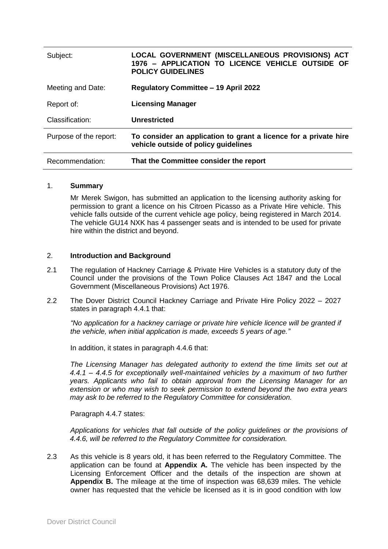| Subject:               | LOCAL GOVERNMENT (MISCELLANEOUS PROVISIONS) ACT<br>1976 - APPLICATION TO LICENCE VEHICLE OUTSIDE OF<br><b>POLICY GUIDELINES</b> |
|------------------------|---------------------------------------------------------------------------------------------------------------------------------|
| Meeting and Date:      | <b>Regulatory Committee - 19 April 2022</b>                                                                                     |
| Report of:             | <b>Licensing Manager</b>                                                                                                        |
| Classification:        | Unrestricted                                                                                                                    |
| Purpose of the report: | To consider an application to grant a licence for a private hire<br>vehicle outside of policy guidelines                        |
| Recommendation:        | That the Committee consider the report                                                                                          |

#### 1. **Summary**

Mr Merek Swigon, has submitted an application to the licensing authority asking for permission to grant a licence on his Citroen Picasso as a Private Hire vehicle. This vehicle falls outside of the current vehicle age policy, being registered in March 2014. The vehicle GU14 NXK has 4 passenger seats and is intended to be used for private hire within the district and beyond.

#### 2. **Introduction and Background**

- 2.1 The regulation of Hackney Carriage & Private Hire Vehicles is a statutory duty of the Council under the provisions of the Town Police Clauses Act 1847 and the Local Government (Miscellaneous Provisions) Act 1976.
- 2.2 The Dover District Council Hackney Carriage and Private Hire Policy 2022 2027 states in paragraph 4.4.1 that:

*"No application for a hackney carriage or private hire vehicle licence will be granted if the vehicle, when initial application is made, exceeds 5 years of age."* 

In addition, it states in paragraph 4.4.6 that:

*The Licensing Manager has delegated authority to extend the time limits set out at 4.4.1 – 4.4.5 for exceptionally well-maintained vehicles by a maximum of two further years. Applicants who fail to obtain approval from the Licensing Manager for an extension or who may wish to seek permission to extend beyond the two extra years may ask to be referred to the Regulatory Committee for consideration.*

Paragraph 4.4.7 states:

*Applications for vehicles that fall outside of the policy guidelines or the provisions of 4.4.6, will be referred to the Regulatory Committee for consideration.*

2.3 As this vehicle is 8 years old, it has been referred to the Regulatory Committee. The application can be found at **Appendix A.** The vehicle has been inspected by the Licensing Enforcement Officer and the details of the inspection are shown at **Appendix B.** The mileage at the time of inspection was 68,639 miles. The vehicle owner has requested that the vehicle be licensed as it is in good condition with low